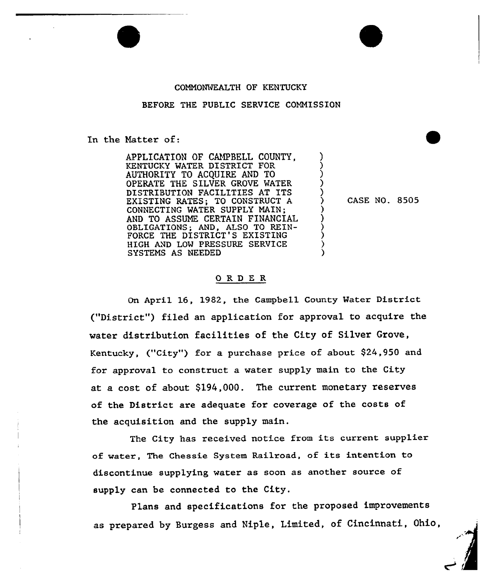## COMMONWEALTH OF KENTUCKY

## BEFORE THE PUBLIC SERVICE COMMISSION

In the Natter of:

APPLICATION OF CAMPBELL COUNTY, KENTUCKY WATER DISTRICT FOR AUTHORITY TO ACQUIRE AND TO OPERATE THE SILVER GROVE WATER DISTRIBUTION FACILITIES AT ITS EXISTING RATES; TO CONSTRUCT A CONNECTING WATER SUPPLY MAIN; AND TO ASSUNE CERTAIN FINANCIAL OBLIGATIONS; AND, ALSO TO REIN-FORCE THE DISTRICT'S EXISTING HIGH AND LOW PRESSURE SERVICE SYSTENS AS NEEDED

) CASE NO. 8505

) ) ) ) )

> ) ) ) ) ) )

## 0 RD E R

On April 16, 1982, the Campbell County Water District ("District") filed an application for approval to acquire the water distribution facilities of the City of Silver Grove, Kentucky, ("City") for a purchase price of about  $$24,950$  and for approval to construct a water supply main to the City at a cost of about \$194,000. The current monetary reserves of the District axe adequate fox coverage of the costs of the acquisition and the supply main.

The City has received notice from its cuxrent supplier of water, The Chessie System Railroad, of its intention to discontinue supplying water as soon as anothex souxce of supply can be connected to the City.

Plans and specifications for the proposed improvementsas prepared by Burgess and Niple, Limited, of Cincinnati, Ohio,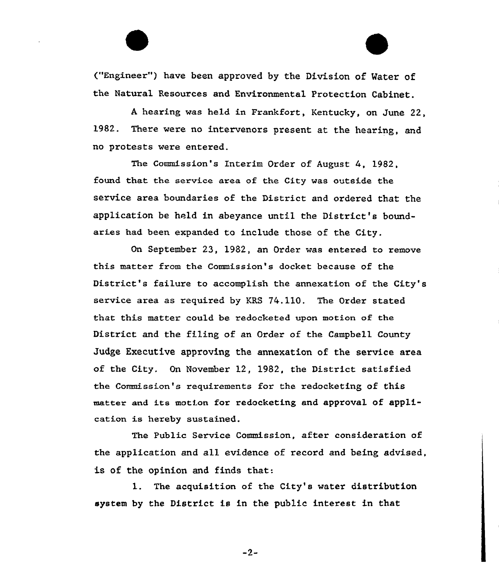("Engineer") have been approved by the Division of Water of the Natural Resources and Environmental Protection Cabinet.

<sup>A</sup> hearing was held in Frankfort, Kentucky, on June 22, 1982. There were no intervenors present at the hearing, and no protests were entered.

The Commission's Interim Order of August 4, 1982, found that the service area of the City was outside the service area boundaries of the District and ordered that the application be held in abeyance until the District's boundaries had been expanded to include those of the City.

On September 23, 1982, an Order was entered to remove this matter from the Commission's docket because of the District's failure to accomplish the annexation of the City' service area as required by KRS 74.110. The Order stated that this matter could be redocketed upon motion of the District and the filing of an Order of the Campbell County Judge Executive approving the annexation of the service area of the City. On November 12, 1982, the District satisfied the Commission's requirements for the redocketing of this matter and its motion for redocketing and approval of application is hereby sustained.

The Public Service Commission, after consideration of the application and all evidence of record and being advised, is of the opinion and finds that:

l. The acquisition of the City's water distribution system by the District is in the public interest in that

 $-2-$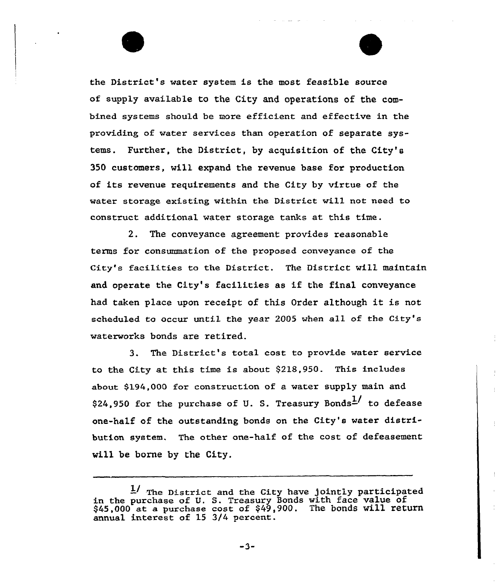the District's water system is the most feasible source of supply available to the City and operations of the combined systems should be more efficient and effective in the providing of water services than operation of separate systems. Further, the District, by acquisition of the City's 350 customers, will expand the revenue base for production of its revenue requirements and the City by virtue of the water storage existing within the District will not need to construct additional water storage tanks at this time.

2. The conveyance agreement pxovides xeasonable terms for consummation of the proposed conveyance of the City's facilities to the Distxict. The District will maintain and opexate the City's facilities as if the final conveyance had taken place upon receipt of this Order although it is not scheduled to occur until the year 2005 when all of the City's waterworks bonds are retired.

3. The District s total cost to pxovide water service to the City at this time is about \$218,950. This includes about \$l94,000 for construction of a water supply main and \$24,950 for the purchase of U. S. Treasury Bonds<sup>1</sup>/ to defease one-half of the outstanding bonds on the City's water distribution system. The other one-half of the cost of defeasement will be borne by the City.

 $-3-$ 

The District and the City have jointly participate in the purchase of U. S. Treasury Bonds with face value of \$45,000 at a purchase cost of \$49,900. The bonds will return annual interest of 15 3/4 percent.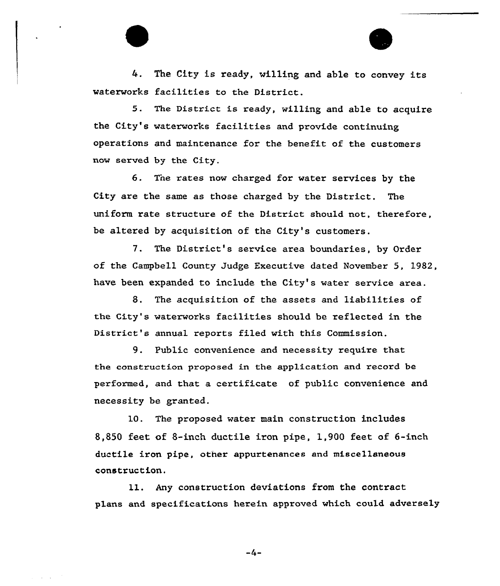4. The City is ready, willing and able to convey its waterworks facilities to the District.

5. The District is ready, willing and able to acquire the City's waterworks facilities and provide continuing operations and maintenance for the benefit of the customers now served by the City.

6. Tne rates now charged for water services by the City are the same as those charged by the District. The uniform rate structure of the District should not, therefore, be altered by acquisition of the City's customers.

7. The District's service area boundaries, by Order of the Campbell County Judge Executive dated November S, 1982, have been expanded to include the City's water service area.

8. The acquisition of the assets and liabilities of the City's waterworks facilities should be reflected in the District's annual reports filed with this Commission.

9. Public convenience and necessity require that the construction proposed in the application and record be performed, and that a certificate of public convenience and necessity be granted.

10. The proposed water main construction includes 8,850 feet of 8-inch ductile iron pipe, 1,900 feet of 6-inch ductile iron pipe, other appurtenances and miscellaneous construct ion.

11. Any construction deviations from the contract plans and specifications herein approved which could adversely

 $-4-$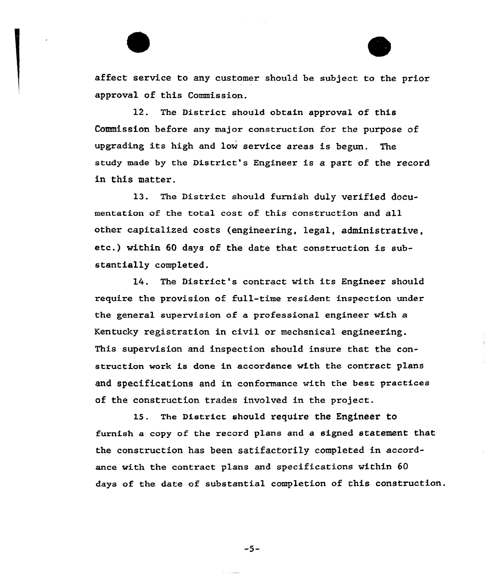affect service to any customer should be subject to the prior approval of this Commission.

12. The District should obtain approval of this Commission before any major construction for the purpose of upgrading its high and low service areas is begun. The study made by the District's Engineer is a part of the record in this matter.

13. The District should furnish duly verified documentation of the total cost of this construction and all other capitalized costs (engineering, legal, administrative, etc.) within <sup>60</sup> days of the date that construction is substantially completed.

14. The District's contract with its Engineer should require the provision of full-time resident inspection under the general supervision of a professional engineer with a Kentucky registration in civil ox mechanical engineering. This supervision and inspection should insure that the construction work is done in accordance with the contract plans and specifications and in conformance with the best practices Qf the construction trades involved in the project.

15. The District should require the Engineer to furnish a copy of the record plans and a signed statement that the construction has been satifactorily completed in accordance with the contract plans and specifications within 60 days of the date of substantial completion of this construction.

 $-5-$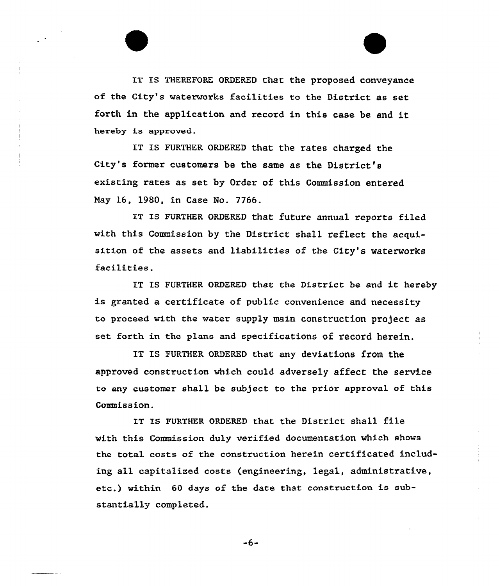IT Is THEREFoRE oRDERED that the proposed conveyance of the City's waterworks facilities to the District as set forth in the application and record in this case be and it hereby is approved.

IT IS FURTHER ORDERED that the rates charged the City's former customers be the same as the District's existing rates as set by Order of this Commission entered Nay 16, 1980, in Case No. 7766.

IT IS FURTHER ORDERED that future annual reports filed with this Commission by the District shall reflect the acquisition of the assets and liabilities of the City's waterworks facilities.

IT IS FURTHER ORDERED that the District be and it hereby is granted a certificate of public convenience and necessity to proceed with the water supply main construction project as set forth in the plans and specifications of record herein.

IT IS FURTHER ORDERED that. any deviations from the approved construction which could adversely affect the service to any customer shall be subject to the prior approval of this Commission.

IT IS FURTHER ORDERED that the District shall file with this Commission duly verified documentation which shows the total costs of the construction herein certificated including all capitalized costs (engineering, legal, administrative, etc.) within <sup>60</sup> days of the date that construction is substantially completed.

$$
\textcolor{red}{\textbf{-6}} \textcolor{red}{\textbf{-}}
$$